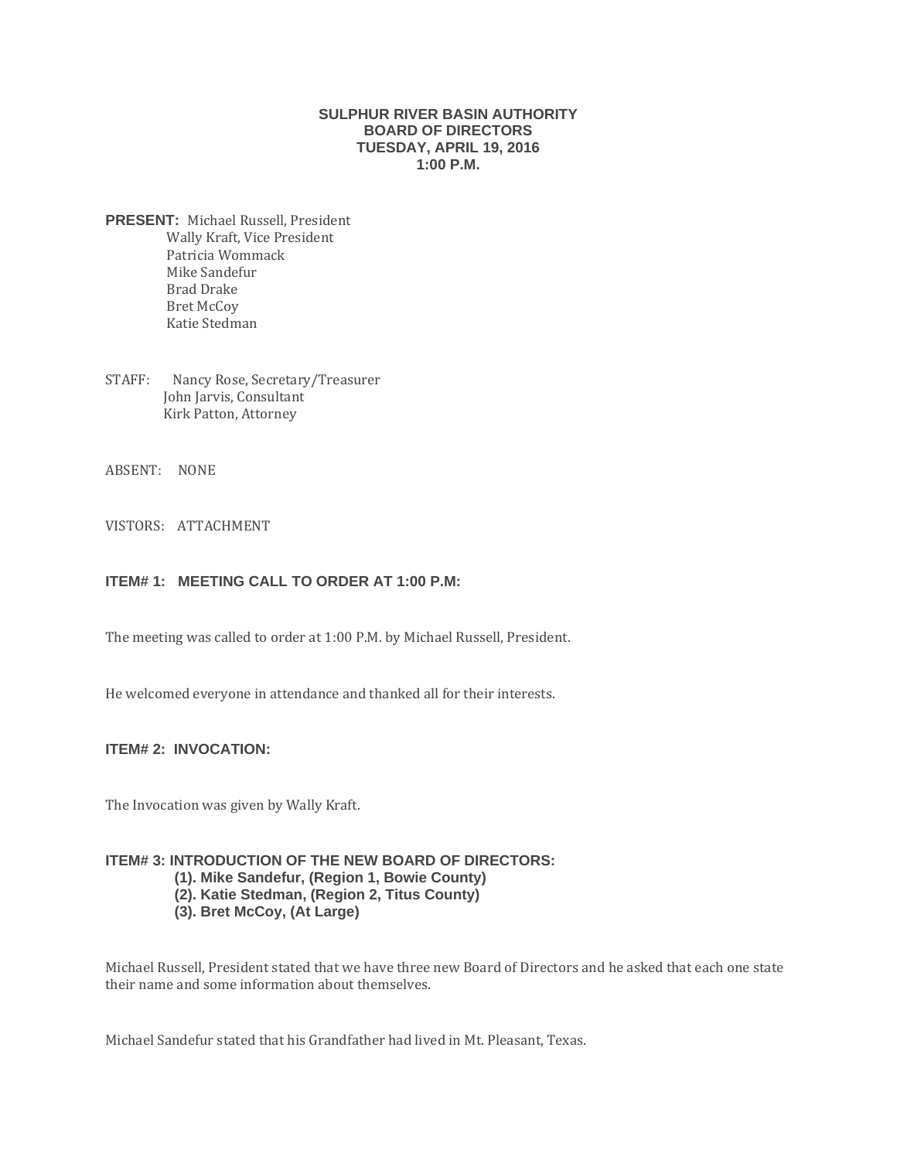### **SULPHUR RIVER BASIN AUTHORITY BOARD OF DIRECTORS TUESDAY, APRIL 19, 2016 1:00 P.M.**

- **PRESENT:** Michael Russell, President Wally Kraft, Vice President Patricia Wommack Mike Sandefur Brad Drake Bret McCoy Katie Stedman
- STAFF: Nancy Rose, Secretary/Treasurer John Jarvis, Consultant Kirk Patton, Attorney
- ABSENT: NONE
- VISTORS: ATTACHMENT

### **ITEM# 1: MEETING CALL TO ORDER AT 1:00 P.M:**

The meeting was called to order at 1:00 P.M. by Michael Russell, President.

He welcomed everyone in attendance and thanked all for their interests.

# **ITEM# 2: INVOCATION:**

The Invocation was given by Wally Kraft.

#### **ITEM# 3: INTRODUCTION OF THE NEW BOARD OF DIRECTORS:**

- **(1). Mike Sandefur, (Region 1, Bowie County)**
- **(2). Katie Stedman, (Region 2, Titus County)**
- **(3). Bret McCoy, (At Large)**

Michael Russell, President stated that we have three new Board of Directors and he asked that each one state their name and some information about themselves.

Michael Sandefur stated that his Grandfather had lived in Mt. Pleasant, Texas.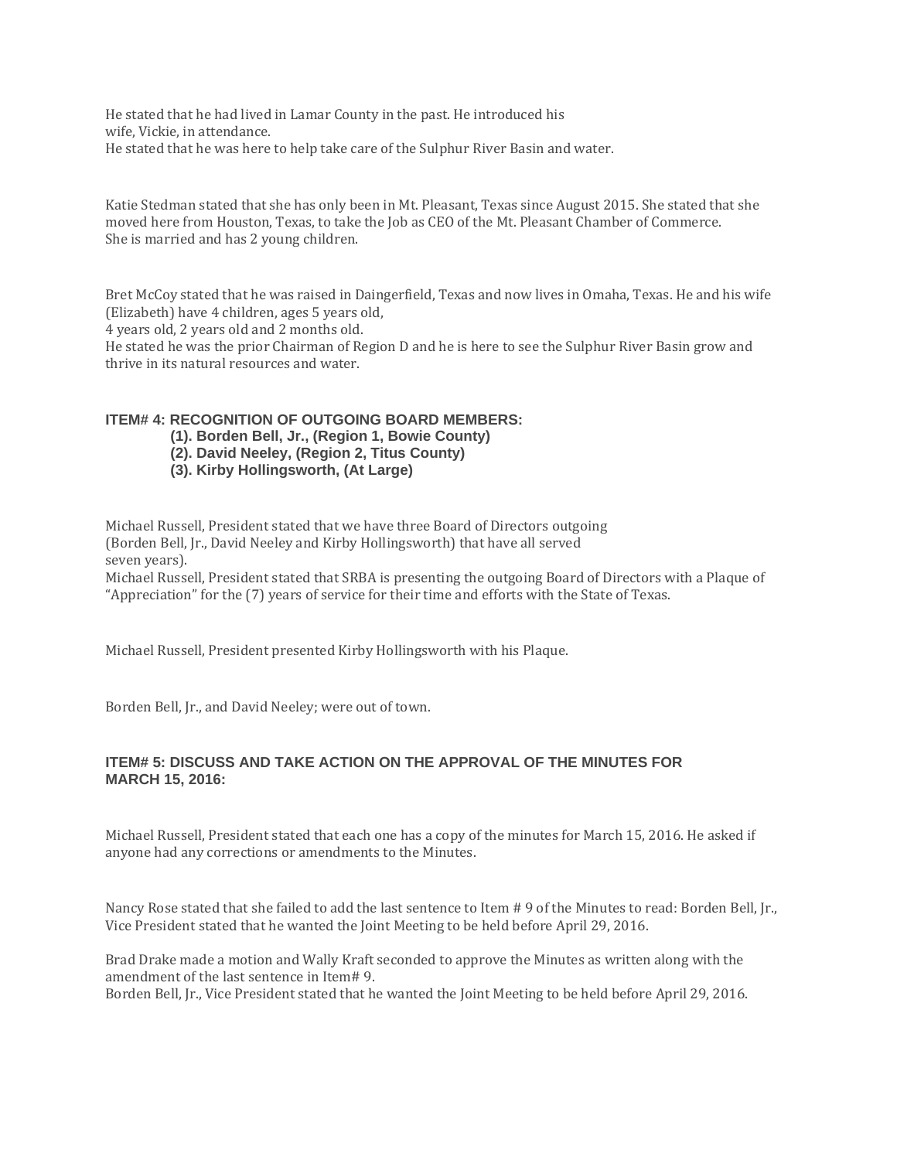He stated that he had lived in Lamar County in the past. He introduced his wife, Vickie, in attendance. He stated that he was here to help take care of the Sulphur River Basin and water.

Katie Stedman stated that she has only been in Mt. Pleasant, Texas since August 2015. She stated that she moved here from Houston, Texas, to take the Job as CEO of the Mt. Pleasant Chamber of Commerce. She is married and has 2 young children.

Bret McCoy stated that he was raised in Daingerfield, Texas and now lives in Omaha, Texas. He and his wife (Elizabeth) have 4 children, ages 5 years old,

4 years old, 2 years old and 2 months old.

He stated he was the prior Chairman of Region D and he is here to see the Sulphur River Basin grow and thrive in its natural resources and water.

### **ITEM# 4: RECOGNITION OF OUTGOING BOARD MEMBERS:**

- **(1). Borden Bell, Jr., (Region 1, Bowie County)**
- **(2). David Neeley, (Region 2, Titus County)**
- **(3). Kirby Hollingsworth, (At Large)**

Michael Russell, President stated that we have three Board of Directors outgoing (Borden Bell, Jr., David Neeley and Kirby Hollingsworth) that have all served seven years).

Michael Russell, President stated that SRBA is presenting the outgoing Board of Directors with a Plaque of "Appreciation" for the (7) years of service for their time and efforts with the State of Texas.

Michael Russell, President presented Kirby Hollingsworth with his Plaque.

Borden Bell, Jr., and David Neeley; were out of town.

### **ITEM# 5: DISCUSS AND TAKE ACTION ON THE APPROVAL OF THE MINUTES FOR MARCH 15, 2016:**

Michael Russell, President stated that each one has a copy of the minutes for March 15, 2016. He asked if anyone had any corrections or amendments to the Minutes.

Nancy Rose stated that she failed to add the last sentence to Item # 9 of the Minutes to read: Borden Bell, [r., Vice President stated that he wanted the Joint Meeting to be held before April 29, 2016.

Brad Drake made a motion and Wally Kraft seconded to approve the Minutes as written along with the amendment of the last sentence in Item# 9.

Borden Bell, Jr., Vice President stated that he wanted the Joint Meeting to be held before April 29, 2016.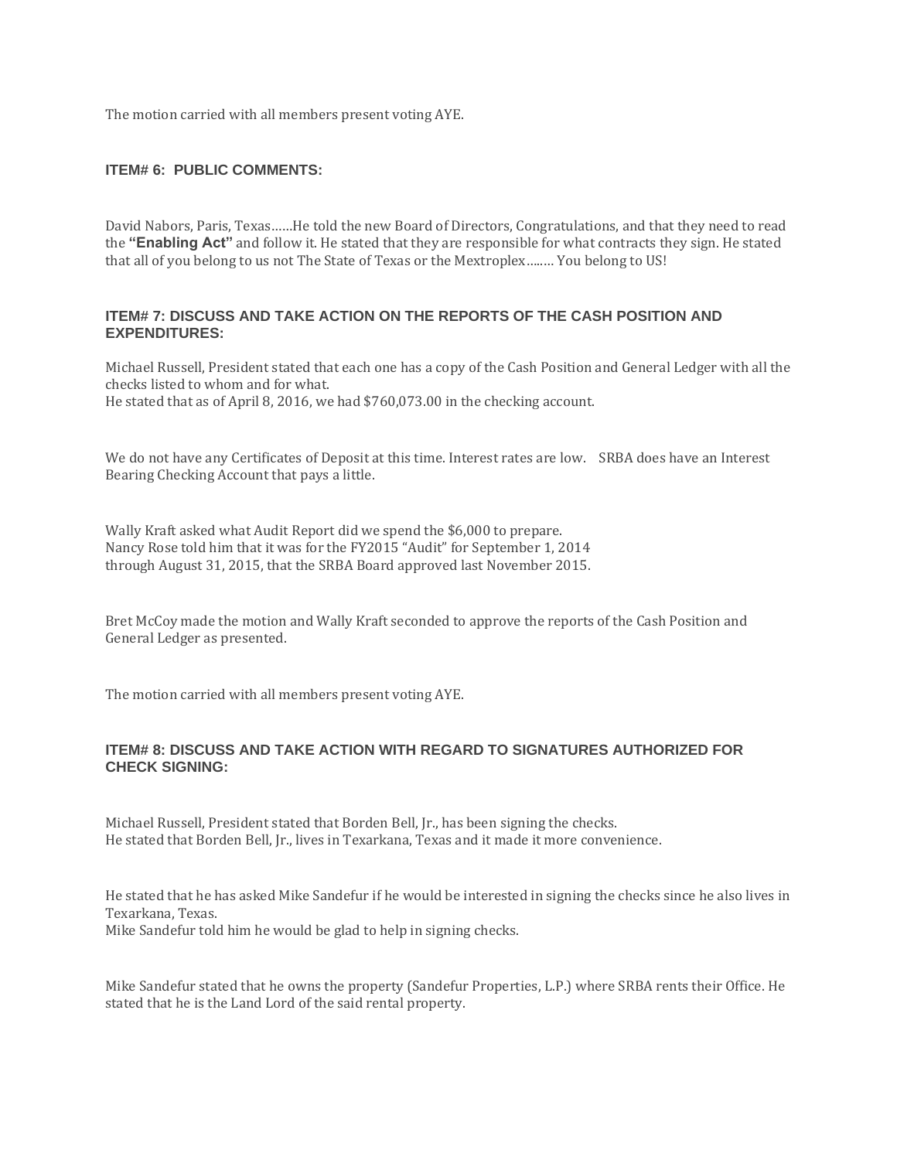The motion carried with all members present voting AYE.

### **ITEM# 6: PUBLIC COMMENTS:**

David Nabors, Paris, Texas……He told the new Board of Directors, Congratulations, and that they need to read the **"Enabling Act"** and follow it. He stated that they are responsible for what contracts they sign. He stated that all of you belong to us not The State of Texas or the Mextroplex…..… You belong to US!

### **ITEM# 7: DISCUSS AND TAKE ACTION ON THE REPORTS OF THE CASH POSITION AND EXPENDITURES:**

Michael Russell, President stated that each one has a copy of the Cash Position and General Ledger with all the checks listed to whom and for what. He stated that as of April 8, 2016, we had \$760,073.00 in the checking account.

We do not have any Certificates of Deposit at this time. Interest rates are low. SRBA does have an Interest Bearing Checking Account that pays a little.

Wally Kraft asked what Audit Report did we spend the \$6,000 to prepare. Nancy Rose told him that it was for the FY2015 "Audit" for September 1, 2014 through August 31, 2015, that the SRBA Board approved last November 2015.

Bret McCoy made the motion and Wally Kraft seconded to approve the reports of the Cash Position and General Ledger as presented.

The motion carried with all members present voting AYE.

### **ITEM# 8: DISCUSS AND TAKE ACTION WITH REGARD TO SIGNATURES AUTHORIZED FOR CHECK SIGNING:**

Michael Russell, President stated that Borden Bell, Jr., has been signing the checks. He stated that Borden Bell, Jr., lives in Texarkana, Texas and it made it more convenience.

He stated that he has asked Mike Sandefur if he would be interested in signing the checks since he also lives in Texarkana, Texas. Mike Sandefur told him he would be glad to help in signing checks.

Mike Sandefur stated that he owns the property (Sandefur Properties, L.P.) where SRBA rents their Office. He stated that he is the Land Lord of the said rental property.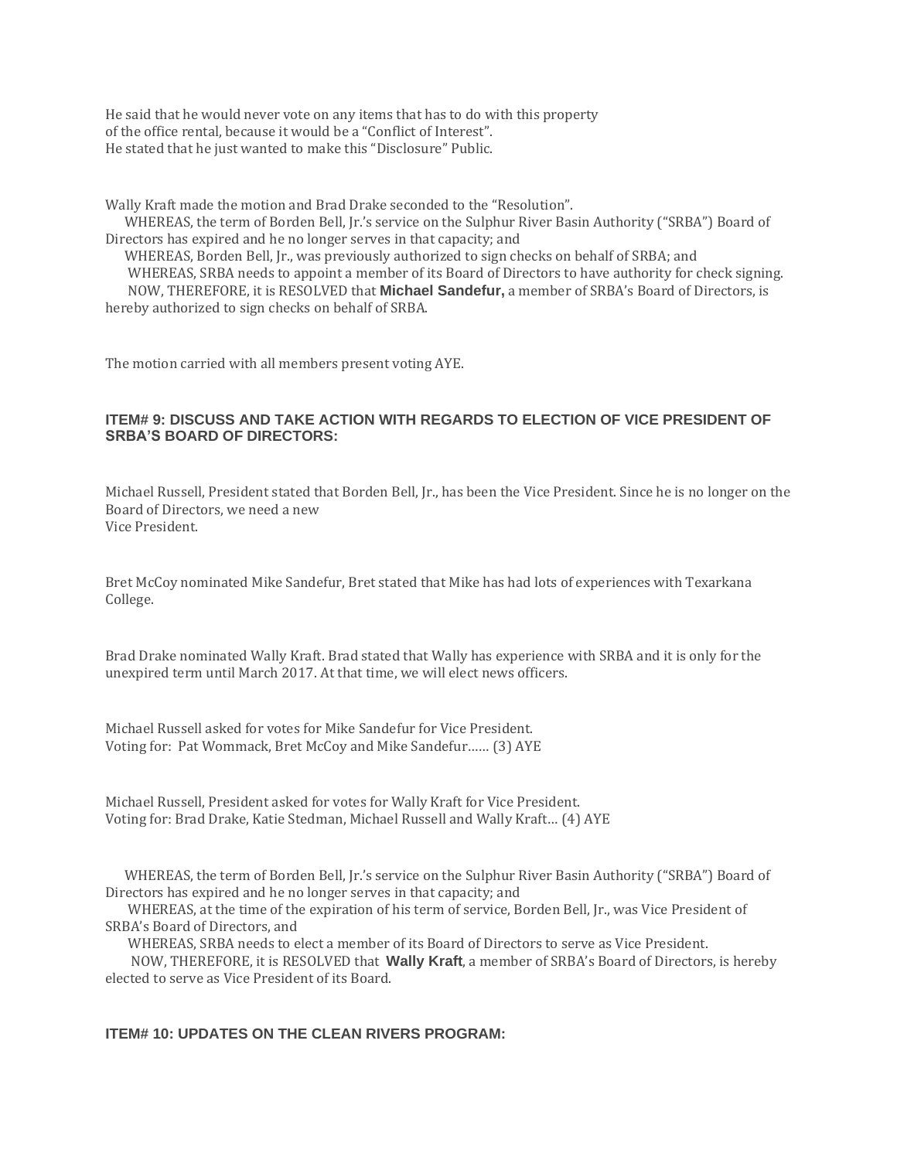He said that he would never vote on any items that has to do with this property of the office rental, because it would be a "Conflict of Interest". He stated that he just wanted to make this "Disclosure" Public.

Wally Kraft made the motion and Brad Drake seconded to the "Resolution".

 WHEREAS, the term of Borden Bell, Jr.'s service on the Sulphur River Basin Authority ("SRBA") Board of Directors has expired and he no longer serves in that capacity; and

 WHEREAS, Borden Bell, Jr., was previously authorized to sign checks on behalf of SRBA; and WHEREAS, SRBA needs to appoint a member of its Board of Directors to have authority for check signing. NOW, THEREFORE, it is RESOLVED that **Michael Sandefur,** a member of SRBA's Board of Directors, is hereby authorized to sign checks on behalf of SRBA.

The motion carried with all members present voting AYE.

## **ITEM# 9: DISCUSS AND TAKE ACTION WITH REGARDS TO ELECTION OF VICE PRESIDENT OF SRBA'S BOARD OF DIRECTORS:**

Michael Russell, President stated that Borden Bell, Jr., has been the Vice President. Since he is no longer on the Board of Directors, we need a new Vice President.

Bret McCoy nominated Mike Sandefur, Bret stated that Mike has had lots of experiences with Texarkana College.

Brad Drake nominated Wally Kraft. Brad stated that Wally has experience with SRBA and it is only for the unexpired term until March 2017. At that time, we will elect news officers.

Michael Russell asked for votes for Mike Sandefur for Vice President. Voting for: Pat Wommack, Bret McCoy and Mike Sandefur…… (3) AYE

Michael Russell, President asked for votes for Wally Kraft for Vice President. Voting for: Brad Drake, Katie Stedman, Michael Russell and Wally Kraft… (4) AYE

 WHEREAS, the term of Borden Bell, Jr.'s service on the Sulphur River Basin Authority ("SRBA") Board of Directors has expired and he no longer serves in that capacity; and

 WHEREAS, at the time of the expiration of his term of service, Borden Bell, Jr., was Vice President of SRBA's Board of Directors, and

WHEREAS, SRBA needs to elect a member of its Board of Directors to serve as Vice President.

 NOW, THEREFORE, it is RESOLVED that **Wally Kraft**, a member of SRBA's Board of Directors, is hereby elected to serve as Vice President of its Board.

## **ITEM# 10: UPDATES ON THE CLEAN RIVERS PROGRAM:**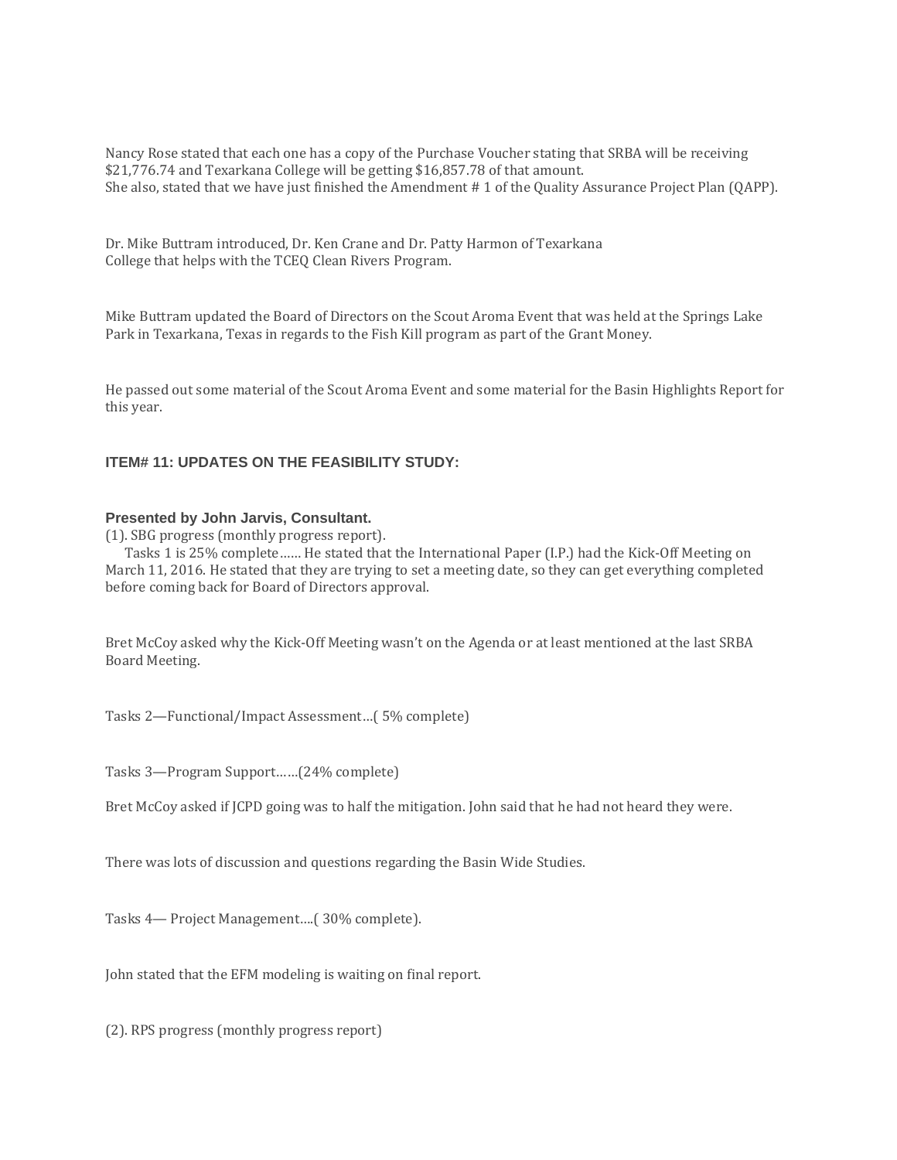Nancy Rose stated that each one has a copy of the Purchase Voucher stating that SRBA will be receiving \$21,776.74 and Texarkana College will be getting \$16,857.78 of that amount. She also, stated that we have just finished the Amendment # 1 of the Quality Assurance Project Plan (QAPP).

Dr. Mike Buttram introduced, Dr. Ken Crane and Dr. Patty Harmon of Texarkana College that helps with the TCEQ Clean Rivers Program.

Mike Buttram updated the Board of Directors on the Scout Aroma Event that was held at the Springs Lake Park in Texarkana, Texas in regards to the Fish Kill program as part of the Grant Money.

He passed out some material of the Scout Aroma Event and some material for the Basin Highlights Report for this year.

# **ITEM# 11: UPDATES ON THE FEASIBILITY STUDY:**

#### **Presented by John Jarvis, Consultant.**

(1). SBG progress (monthly progress report).

 Tasks 1 is 25% complete…… He stated that the International Paper (I.P.) had the Kick-Off Meeting on March 11, 2016. He stated that they are trying to set a meeting date, so they can get everything completed before coming back for Board of Directors approval.

Bret McCoy asked why the Kick-Off Meeting wasn't on the Agenda or at least mentioned at the last SRBA Board Meeting.

Tasks 2—Functional/Impact Assessment…( 5% complete)

Tasks 3—Program Support……(24% complete)

Bret McCoy asked if JCPD going was to half the mitigation. John said that he had not heard they were.

There was lots of discussion and questions regarding the Basin Wide Studies.

Tasks 4— Project Management….( 30% complete).

John stated that the EFM modeling is waiting on final report.

(2). RPS progress (monthly progress report)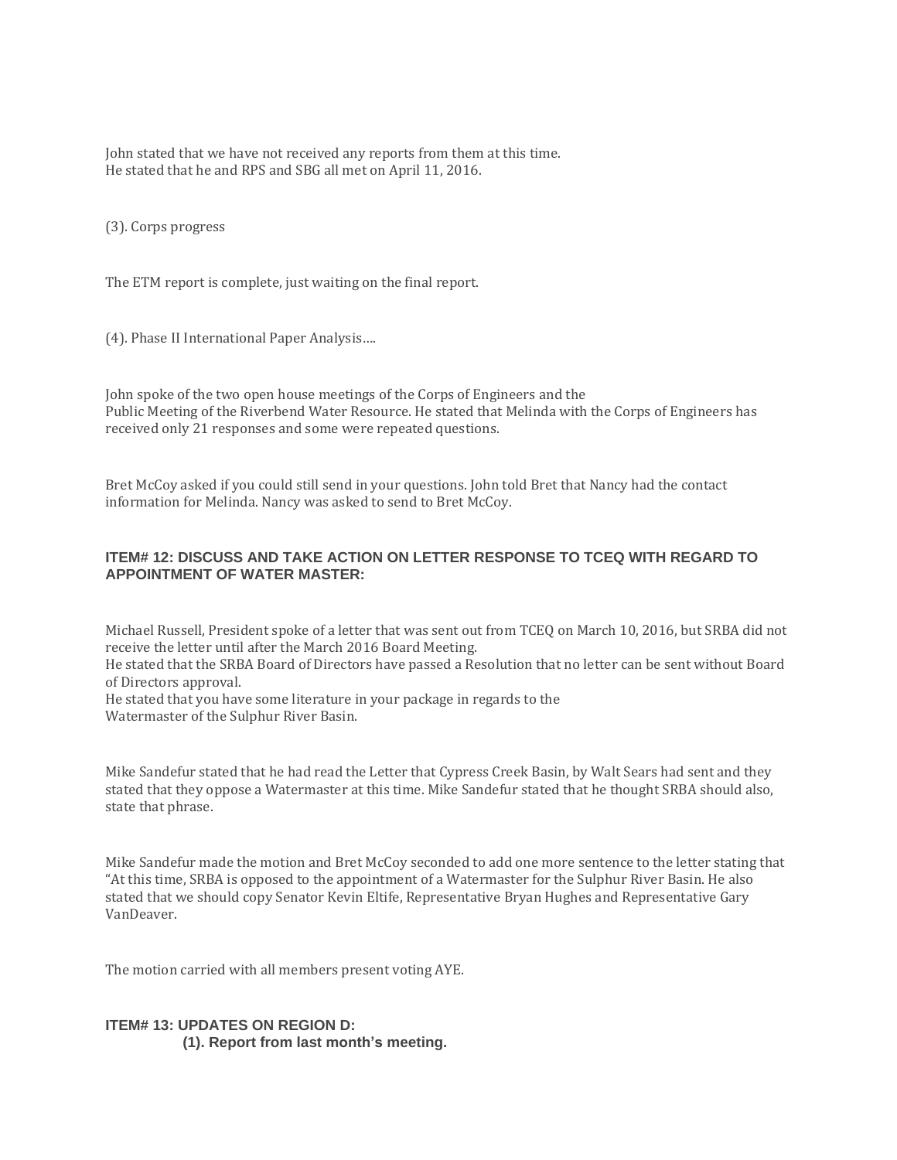John stated that we have not received any reports from them at this time. He stated that he and RPS and SBG all met on April 11, 2016.

(3). Corps progress

The ETM report is complete, just waiting on the final report.

(4). Phase II International Paper Analysis….

John spoke of the two open house meetings of the Corps of Engineers and the Public Meeting of the Riverbend Water Resource. He stated that Melinda with the Corps of Engineers has received only 21 responses and some were repeated questions.

Bret McCoy asked if you could still send in your questions. John told Bret that Nancy had the contact information for Melinda. Nancy was asked to send to Bret McCoy.

### **ITEM# 12: DISCUSS AND TAKE ACTION ON LETTER RESPONSE TO TCEQ WITH REGARD TO APPOINTMENT OF WATER MASTER:**

Michael Russell, President spoke of a letter that was sent out from TCEQ on March 10, 2016, but SRBA did not receive the letter until after the March 2016 Board Meeting.

He stated that the SRBA Board of Directors have passed a Resolution that no letter can be sent without Board of Directors approval.

He stated that you have some literature in your package in regards to the Watermaster of the Sulphur River Basin.

Mike Sandefur stated that he had read the Letter that Cypress Creek Basin, by Walt Sears had sent and they stated that they oppose a Watermaster at this time. Mike Sandefur stated that he thought SRBA should also, state that phrase.

Mike Sandefur made the motion and Bret McCoy seconded to add one more sentence to the letter stating that "At this time, SRBA is opposed to the appointment of a Watermaster for the Sulphur River Basin. He also stated that we should copy Senator Kevin Eltife, Representative Bryan Hughes and Representative Gary VanDeaver.

The motion carried with all members present voting AYE.

# **ITEM# 13: UPDATES ON REGION D: (1). Report from last month's meeting.**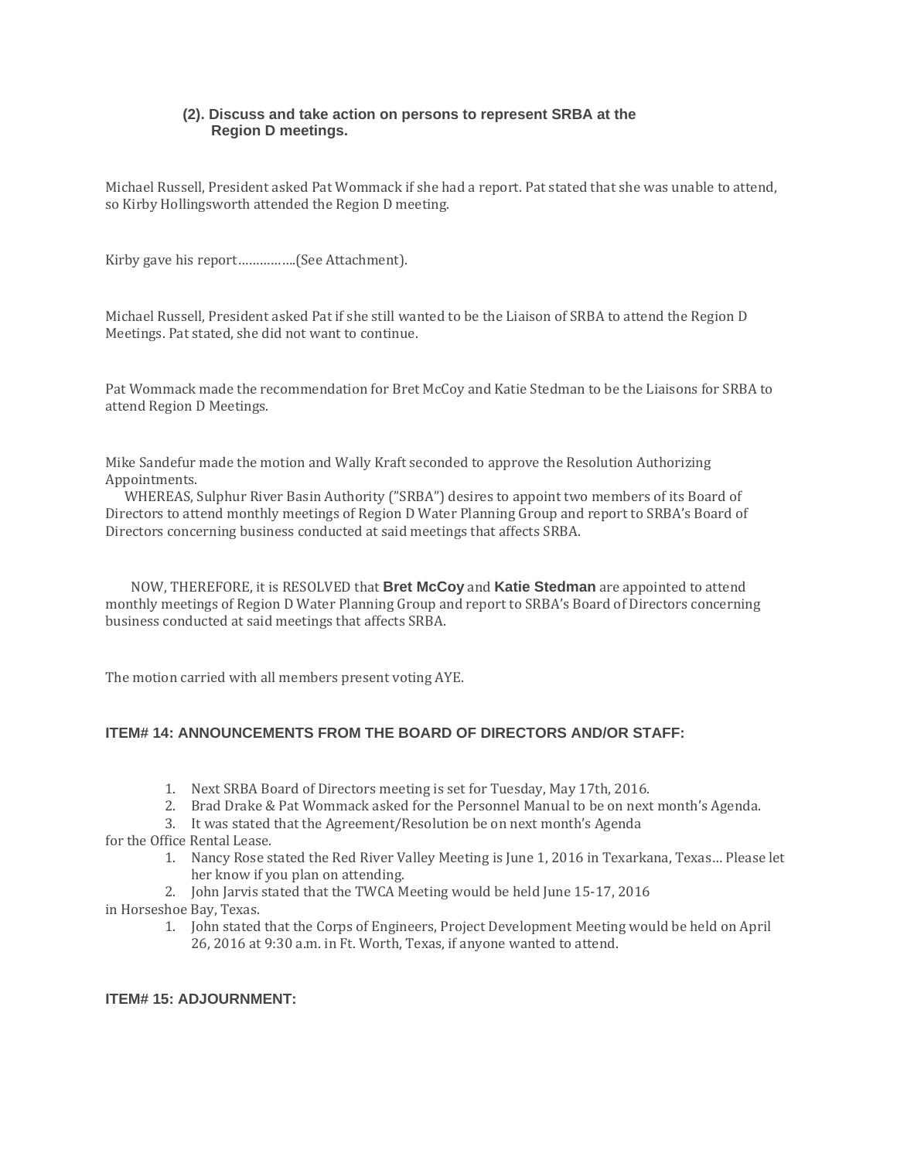### **(2). Discuss and take action on persons to represent SRBA at the Region D meetings.**

Michael Russell, President asked Pat Wommack if she had a report. Pat stated that she was unable to attend, so Kirby Hollingsworth attended the Region D meeting.

Kirby gave his report…………….(See Attachment).

Michael Russell, President asked Pat if she still wanted to be the Liaison of SRBA to attend the Region D Meetings. Pat stated, she did not want to continue.

Pat Wommack made the recommendation for Bret McCoy and Katie Stedman to be the Liaisons for SRBA to attend Region D Meetings.

Mike Sandefur made the motion and Wally Kraft seconded to approve the Resolution Authorizing Appointments.

 WHEREAS, Sulphur River Basin Authority ("SRBA") desires to appoint two members of its Board of Directors to attend monthly meetings of Region D Water Planning Group and report to SRBA's Board of Directors concerning business conducted at said meetings that affects SRBA.

 NOW, THEREFORE, it is RESOLVED that **Bret McCoy** and **Katie Stedman** are appointed to attend monthly meetings of Region D Water Planning Group and report to SRBA's Board of Directors concerning business conducted at said meetings that affects SRBA.

The motion carried with all members present voting AYE.

### **ITEM# 14: ANNOUNCEMENTS FROM THE BOARD OF DIRECTORS AND/OR STAFF:**

- 1. Next SRBA Board of Directors meeting is set for Tuesday, May 17th, 2016.
- 2. Brad Drake & Pat Wommack asked for the Personnel Manual to be on next month's Agenda.
- 3. It was stated that the Agreement/Resolution be on next month's Agenda
- for the Office Rental Lease.
	- 1. Nancy Rose stated the Red River Valley Meeting is June 1, 2016 in Texarkana, Texas… Please let her know if you plan on attending.
	- 2. John Jarvis stated that the TWCA Meeting would be held June 15-17, 2016
- in Horseshoe Bay, Texas.
	- 1. John stated that the Corps of Engineers, Project Development Meeting would be held on April 26, 2016 at 9:30 a.m. in Ft. Worth, Texas, if anyone wanted to attend.

# **ITEM# 15: ADJOURNMENT:**